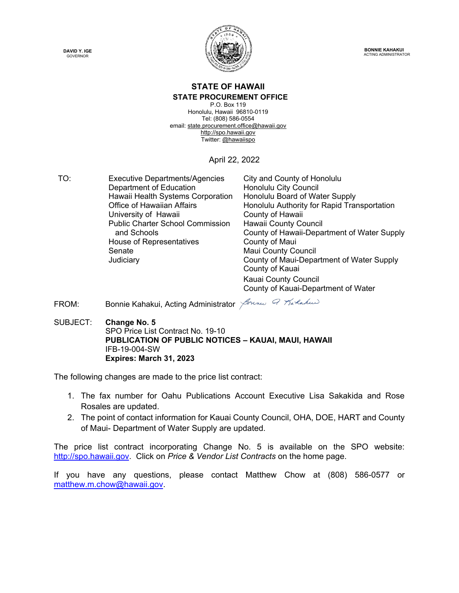



**BONNIE KAHAKUI** ACTING ADMINISTRATOR

## **STATE OF HAWAII STATE PROCUREMENT OFFICE**

P.O. Box 119 Honolulu, Hawaii 96810-0119 Tel: (808) 586-0554 email[: state.procurement.office@hawaii.gov](mailto:state.procurement.office@hawaii.gov) [http://spo.hawaii.gov](http://spo.hawaii.gov/) Twitter: [@hawaiispo](https://twitter.com/hawaiispo)

## April 22, 2022

TO: Executive Departments/Agencies City and County of Honolulu Department of Education **Honolulu City Council** Hawaii Health Systems Corporation Honolulu Board of Water Supply Honolulu Authority for Rapid Transportation<br>County of Hawaii University of Hawaii Public Charter School Commission and Schools Hawaii County Council County of Hawaii-Department of Water Supply House of Representatives **County of Maui** Senate Maui County Council Judiciary County of Maui-Department of Water Supply County of Kauai Kauai County Council

County of Kauai-Department of Water

FROM: Bonnie Kahakui, Acting Administrator America Pratakus

SUBJECT: **Change No. 5** SPO Price List Contract No. 19-10  **PUBLICATION OF PUBLIC NOTICES – KAUAI, MAUI, HAWAII** IFB-19-004-SW  **Expires: March 31, 2023**

The following changes are made to the price list contract:

- 1. The fax number for Oahu Publications Account Executive Lisa Sakakida and Rose Rosales are updated.
- 2. The point of contact information for Kauai County Council, OHA, DOE, HART and County of Maui- Department of Water Supply are updated.

The price list contract incorporating Change No. 5 is available on the SPO website: [http://spo.hawaii.gov.](http://spo.hawaii.gov/) Click on *Price & Vendor List Contracts* on the home page.

If you have any questions, please contact Matthew Chow at (808) 586-0577 or [matthew.m.chow@hawaii.gov.](mailto:matthew.m.chow@hawaii.gov)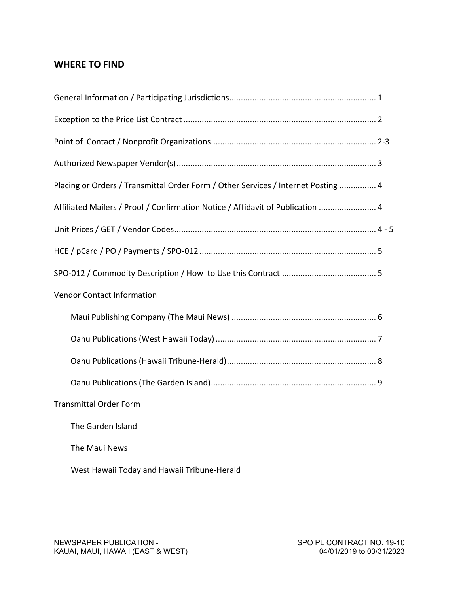# **WHERE TO FIND**

| Placing or Orders / Transmittal Order Form / Other Services / Internet Posting  4 |
|-----------------------------------------------------------------------------------|
| Affiliated Mailers / Proof / Confirmation Notice / Affidavit of Publication  4    |
|                                                                                   |
|                                                                                   |
|                                                                                   |
| <b>Vendor Contact Information</b>                                                 |
|                                                                                   |
|                                                                                   |
|                                                                                   |
|                                                                                   |
| <b>Transmittal Order Form</b>                                                     |
| The Garden Island                                                                 |
| The Maui News                                                                     |
| West Hawaii Today and Hawaii Tribune-Herald                                       |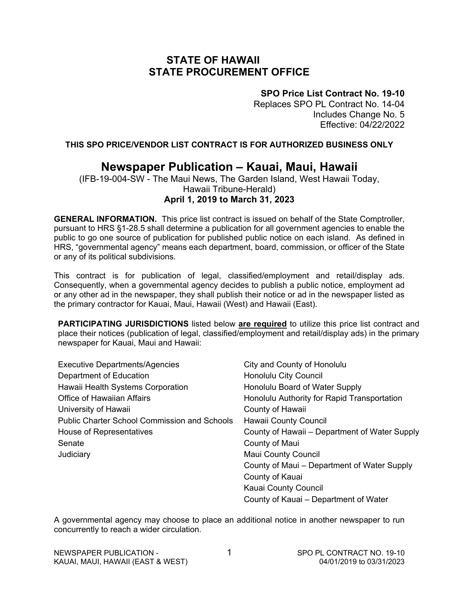# **STATE OF HAWAII STATE PROCUREMENT OFFICE**

## **SPO Price List Contract No. 19-10**

Replaces SPO PL Contract No. 14-04 Includes Change No. 5 Effective: 04/22/2022

**THIS SPO PRICE/VENDOR LIST CONTRACT IS FOR AUTHORIZED BUSINESS ONLY**

# **Newspaper Publication – Kauai, Maui, Hawaii**

(IFB-19-004-SW - The Maui News, The Garden Island, West Hawaii Today, Hawaii Tribune-Herald) **April 1, 2019 to March 31, 2023**

**GENERAL INFORMATION.** This price list contract is issued on behalf of the State Comptroller, pursuant to HRS §1-28.5 shall determine a publication for all government agencies to enable the public to go one source of publication for published public notice on each island. As defined in HRS, "governmental agency" means each department, board, commission, or officer of the State or any of its political subdivisions.

This contract is for publication of legal, classified/employment and retail/display ads. Consequently, when a governmental agency decides to publish a public notice, employment ad or any other ad in the newspaper, they shall publish their notice or ad in the newspaper listed as the primary contractor for Kauai, Maui, Hawaii (West) and Hawaii (East).

**PARTICIPATING JURISDICTIONS** listed below **are required** to utilize this price list contract and place their notices (publication of legal, classified/employment and retail/display ads) in the primary newspaper for Kauai, Maui and Hawaii:

| <b>Executive Departments/Agencies</b>               | City and County of Honolulu                   |
|-----------------------------------------------------|-----------------------------------------------|
| Department of Education                             | <b>Honolulu City Council</b>                  |
| Hawaii Health Systems Corporation                   | Honolulu Board of Water Supply                |
| <b>Office of Hawaiian Affairs</b>                   | Honolulu Authority for Rapid Transportation   |
| University of Hawaii                                | County of Hawaii                              |
| <b>Public Charter School Commission and Schools</b> | <b>Hawaii County Council</b>                  |
| House of Representatives                            | County of Hawaii – Department of Water Supply |
| Senate                                              | County of Maui                                |
| Judiciary                                           | <b>Maui County Council</b>                    |
|                                                     | County of Maui - Department of Water Supply   |
|                                                     | County of Kauai                               |
|                                                     | Kauai County Council                          |
|                                                     | County of Kauai – Department of Water         |

A governmental agency may choose to place an additional notice in another newspaper to run concurrently to reach a wider circulation.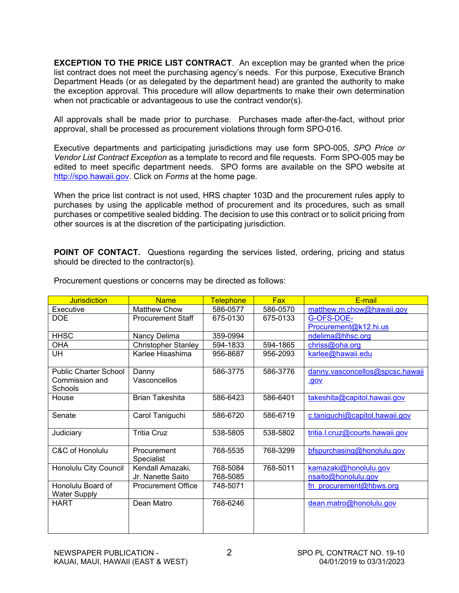**EXCEPTION TO THE PRICE LIST CONTRACT**. An exception may be granted when the price list contract does not meet the purchasing agency's needs. For this purpose, Executive Branch Department Heads (or as delegated by the department head) are granted the authority to make the exception approval. This procedure will allow departments to make their own determination when not practicable or advantageous to use the contract vendor(s).

All approvals shall be made prior to purchase. Purchases made after-the-fact, without prior approval, shall be processed as procurement violations through form SPO-016*.*

Executive departments and participating jurisdictions may use form SPO-005, *SPO Price or Vendor List Contract Exception* as a template to record and file requests. Form SPO-005 may be edited to meet specific department needs. SPO forms are available on the SPO website at [http://spo.hawaii.gov.](http://spo.hawaii.gov/) Click on *Forms* at the home page.

When the price list contract is not used, HRS chapter 103D and the procurement rules apply to purchases by using the applicable method of procurement and its procedures, such as small purchases or competitive sealed bidding. The decision to use this contract or to solicit pricing from other sources is at the discretion of the participating jurisdiction.

**POINT OF CONTACT.** Questions regarding the services listed, ordering, pricing and status should be directed to the contractor(s).

| <b>Jurisdiction</b>                      | <b>Name</b>                | <b>Telephone</b> | <b>Fax</b> | E-mail                          |
|------------------------------------------|----------------------------|------------------|------------|---------------------------------|
| Executive                                | <b>Matthew Chow</b>        | 586-0577         | 586-0570   | matthew.m.chow@hawaii.gov       |
| <b>DOE</b>                               | <b>Procurement Staff</b>   | 675-0130         | 675-0133   | G-OFS-DOE-                      |
|                                          |                            |                  |            | Procurement@k12.hi.us           |
| <b>HHSC</b>                              | Nancy Delima               | 359-0994         |            | ndelima@hhsc.org                |
| <b>OHA</b>                               | <b>Christopher Stanley</b> | 594-1833         | 594-1865   | chriss@oha.org                  |
| UH                                       | Karlee Hisashima           | 956-8687         | 956-2093   | karlee@hawaii.edu               |
| <b>Public Charter School</b>             | Danny                      | 586-3775         | 586-3776   | danny.vasconcellos@spcsc.hawaii |
| Commission and<br>Schools                | Vasconcellos               |                  |            | <u>.gov</u>                     |
| House                                    | <b>Brian Takeshita</b>     | 586-6423         | 586-6401   | takeshita@capitol.hawaii.gov    |
| Senate                                   | Carol Taniguchi            | 586-6720         | 586-6719   | c.taniguchi@capitol.hawaii.gov  |
| Judiciary                                | <b>Tritia Cruz</b>         | 538-5805         | 538-5802   | tritia.l.cruz@courts.hawaii.gov |
| C&C of Honolulu                          | Procurement<br>Specialist  | 768-5535         | 768-3299   | bfspurchasing@honolulu.gov      |
| Honolulu City Council                    | Kendall Amazaki,           | 768-5084         | 768-5011   | kamazaki@honolulu.gov           |
|                                          | Jr. Nanette Saito          | 768-5085         |            | nsaito@honolulu.gov             |
| Honolulu Board of<br><b>Water Supply</b> | <b>Procurement Office</b>  | 748-5071         |            | fn procurement@hbws.org         |
| HART                                     | Dean Matro                 | 768-6246         |            | dean.matro@honolulu.gov         |
|                                          |                            |                  |            |                                 |

Procurement questions or concerns may be directed as follows: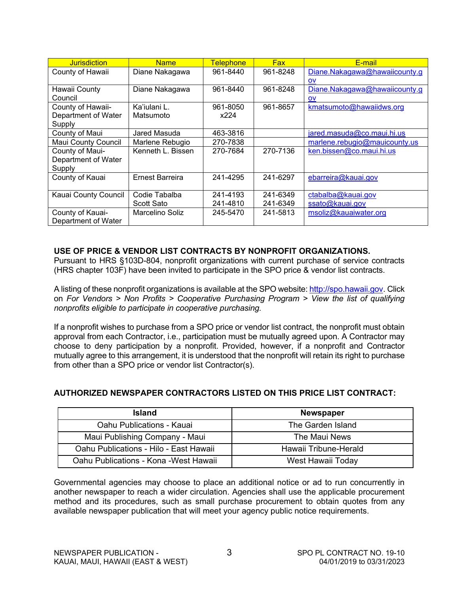| <b>Jurisdiction</b>        | <b>Name</b>       | <b>Telephone</b> | <b>Fax</b> | E-mail                        |
|----------------------------|-------------------|------------------|------------|-------------------------------|
| County of Hawaii           | Diane Nakagawa    | 961-8440         | 961-8248   | Diane.Nakagawa@hawaiicounty.g |
|                            |                   |                  |            | OV                            |
| Hawaii County              | Diane Nakagawa    | 961-8440         | 961-8248   | Diane.Nakagawa@hawaiicounty.g |
| Council                    |                   |                  |            | <b>OV</b>                     |
| County of Hawaii-          | Ka'iulani L.      | 961-8050         | 961-8657   | kmatsumoto@hawaiidws.org      |
| Department of Water        | Matsumoto         | x224             |            |                               |
| Supply                     |                   |                  |            |                               |
| County of Maui             | Jared Masuda      | 463-3816         |            | jared.masuda@co.maui.hi.us    |
| <b>Maui County Council</b> | Marlene Rebugio   | 270-7838         |            | marlene.rebugio@mauicounty.us |
| County of Maui-            | Kenneth L. Bissen | 270-7684         | 270-7136   | ken.bissen@co.maui.hi.us      |
| Department of Water        |                   |                  |            |                               |
| Supply                     |                   |                  |            |                               |
| County of Kauai            | Ernest Barreira   | 241-4295         | 241-6297   | ebarreira@kauai.gov           |
|                            |                   |                  |            |                               |
| Kauai County Council       | Codie Tabalba     | 241-4193         | 241-6349   | ctabalba@kauai.gov            |
|                            | Scott Sato        | 241-4810         | 241-6349   | ssato@kauai.gov               |
| County of Kauai-           | Marcelino Soliz   | 245-5470         | 241-5813   | msoliz@kauaiwater.org         |
| Department of Water        |                   |                  |            |                               |

## **USE OF PRICE & VENDOR LIST CONTRACTS BY NONPROFIT ORGANIZATIONS.**

Pursuant to HRS §103D-804, nonprofit organizations with current purchase of service contracts (HRS chapter 103F) have been invited to participate in the SPO price & vendor list contracts.

A listing of these nonprofit organizations is available at the SPO website: [http://spo.hawaii.gov.](http://spo.hawaii.gov/) Click on *For Vendors > Non Profits > Cooperative Purchasing Program > View the list of qualifying nonprofits eligible to participate in cooperative purchasing.*

If a nonprofit wishes to purchase from a SPO price or vendor list contract, the nonprofit must obtain approval from each Contractor, i.e., participation must be mutually agreed upon. A Contractor may choose to deny participation by a nonprofit. Provided, however, if a nonprofit and Contractor mutually agree to this arrangement, it is understood that the nonprofit will retain its right to purchase from other than a SPO price or vendor list Contractor(s).

## **AUTHORIZED NEWSPAPER CONTRACTORS LISTED ON THIS PRICE LIST CONTRACT:**

| <b>Island</b>                          | <b>Newspaper</b>      |
|----------------------------------------|-----------------------|
| Oahu Publications - Kauai              | The Garden Island     |
| Maui Publishing Company - Maui         | The Maui News         |
| Oahu Publications - Hilo - East Hawaii | Hawaii Tribune-Herald |
| Oahu Publications - Kona - West Hawaii | West Hawaii Today     |

Governmental agencies may choose to place an additional notice or ad to run concurrently in another newspaper to reach a wider circulation. Agencies shall use the applicable procurement method and its procedures, such as small purchase procurement to obtain quotes from any available newspaper publication that will meet your agency public notice requirements.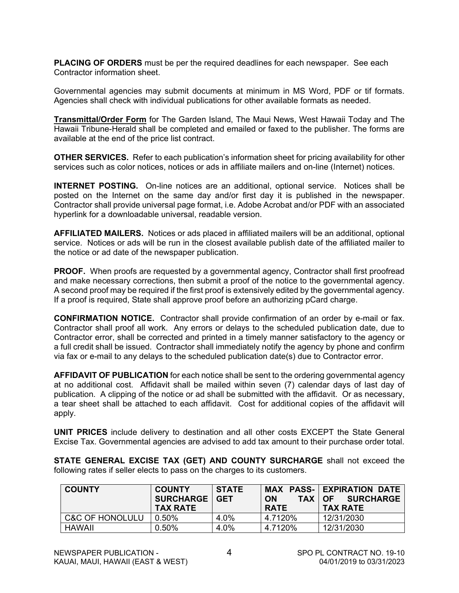**PLACING OF ORDERS** must be per the required deadlines for each newspaper. See each Contractor information sheet.

Governmental agencies may submit documents at minimum in MS Word, PDF or tif formats. Agencies shall check with individual publications for other available formats as needed.

**Transmittal/Order Form** for The Garden Island, The Maui News, West Hawaii Today and The Hawaii Tribune-Herald shall be completed and emailed or faxed to the publisher. The forms are available at the end of the price list contract.

**OTHER SERVICES.** Refer to each publication's information sheet for pricing availability for other services such as color notices, notices or ads in affiliate mailers and on-line (Internet) notices.

**INTERNET POSTING.** On-line notices are an additional, optional service. Notices shall be posted on the Internet on the same day and/or first day it is published in the newspaper. Contractor shall provide universal page format, i.e. Adobe Acrobat and/or PDF with an associated hyperlink for a downloadable universal, readable version.

**AFFILIATED MAILERS.** Notices or ads placed in affiliated mailers will be an additional, optional service. Notices or ads will be run in the closest available publish date of the affiliated mailer to the notice or ad date of the newspaper publication.

**PROOF.** When proofs are requested by a governmental agency, Contractor shall first proofread and make necessary corrections, then submit a proof of the notice to the governmental agency. A second proof may be required if the first proof is extensively edited by the governmental agency. If a proof is required, State shall approve proof before an authorizing pCard charge.

**CONFIRMATION NOTICE.** Contractor shall provide confirmation of an order by e-mail or fax. Contractor shall proof all work. Any errors or delays to the scheduled publication date, due to Contractor error, shall be corrected and printed in a timely manner satisfactory to the agency or a full credit shall be issued. Contractor shall immediately notify the agency by phone and confirm via fax or e-mail to any delays to the scheduled publication date(s) due to Contractor error.

**AFFIDAVIT OF PUBLICATION** for each notice shall be sent to the ordering governmental agency at no additional cost. Affidavit shall be mailed within seven (7) calendar days of last day of publication. A clipping of the notice or ad shall be submitted with the affidavit. Or as necessary, a tear sheet shall be attached to each affidavit. Cost for additional copies of the affidavit will apply.

**UNIT PRICES** include delivery to destination and all other costs EXCEPT the State General Excise Tax. Governmental agencies are advised to add tax amount to their purchase order total.

**STATE GENERAL EXCISE TAX (GET) AND COUNTY SURCHARGE** shall not exceed the following rates if seller elects to pass on the charges to its customers.

| <b>COUNTY</b>              | <b>COUNTY</b><br><b>SURCHARGE   GET</b><br><b>TAX RATE</b> | <b>STATE</b> | <b>ON</b><br><b>TAX</b><br><b>RATE</b> | <b>MAX PASS- EXPIRATION DATE</b><br><b>SURCHARGE</b><br>OF 1<br><b>TAX RATE</b> |
|----------------------------|------------------------------------------------------------|--------------|----------------------------------------|---------------------------------------------------------------------------------|
| <b>C&amp;C OF HONOLULU</b> | $0.50\%$                                                   | 4.0%         | 4.7120%                                | 12/31/2030                                                                      |
| <b>HAWAII</b>              | 0.50%                                                      | 4.0%         | 4.7120%                                | 12/31/2030                                                                      |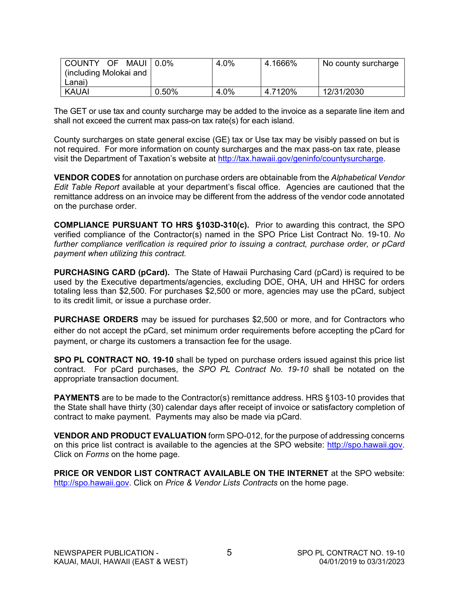| COUNTY OF<br>MAUI 0.0% |       | 4.0% | 4.1666% | No county surcharge |
|------------------------|-------|------|---------|---------------------|
| including Molokai and  |       |      |         |                     |
| Lanai)                 |       |      |         |                     |
| <b>KAUAI</b>           | 0.50% | 4.0% | 4.7120% | 12/31/2030          |

The GET or use tax and county surcharge may be added to the invoice as a separate line item and shall not exceed the current max pass-on tax rate(s) for each island.

County surcharges on state general excise (GE) tax or Use tax may be visibly passed on but is not required. For more information on county surcharges and the max pass-on tax rate, please visit the Department of Taxation's website at [http://tax.hawaii.gov/geninfo/countysurcharge.](http://tax.hawaii.gov/geninfo/countysurcharge)

**VENDOR CODES** for annotation on purchase orders are obtainable from the *Alphabetical Vendor Edit Table Report* available at your department's fiscal office. Agencies are cautioned that the remittance address on an invoice may be different from the address of the vendor code annotated on the purchase order.

**COMPLIANCE PURSUANT TO HRS §103D-310(c).** Prior to awarding this contract, the SPO verified compliance of the Contractor(s) named in the SPO Price List Contract No. 19-10. *No further compliance verification is required prior to issuing a contract, purchase order, or pCard payment when utilizing this contract.*

**PURCHASING CARD (pCard).** The State of Hawaii Purchasing Card (pCard) is required to be used by the Executive departments/agencies, excluding DOE, OHA, UH and HHSC for orders totaling less than \$2,500. For purchases \$2,500 or more, agencies may use the pCard, subject to its credit limit, or issue a purchase order.

**PURCHASE ORDERS** may be issued for purchases \$2,500 or more, and for Contractors who either do not accept the pCard, set minimum order requirements before accepting the pCard for payment, or charge its customers a transaction fee for the usage.

**SPO PL CONTRACT NO. 19-10** shall be typed on purchase orders issued against this price list contract. For pCard purchases, the *SPO PL Contract No. 19-10* shall be notated on the appropriate transaction document.

**PAYMENTS** are to be made to the Contractor(s) remittance address. HRS §103-10 provides that the State shall have thirty (30) calendar days after receipt of invoice or satisfactory completion of contract to make payment. Payments may also be made via pCard.

**VENDOR AND PRODUCT EVALUATION** form SPO-012, for the purpose of addressing concerns on this price list contract is available to the agencies at the SPO website: [http://spo.hawaii.gov.](http://spo.hawaii.gov/) Click on *Forms* on the home page.

**PRICE OR VENDOR LIST CONTRACT AVAILABLE ON THE INTERNET** at the SPO website: [http://spo.hawaii.gov.](http://spo.hawaii.gov/) Click on *Price & Vendor Lists Contracts* on the home page.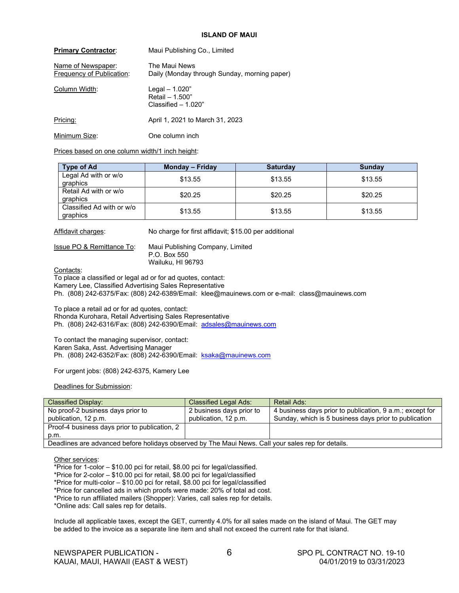#### **ISLAND OF MAUI**

| <b>Primary Contractor:</b>                      | Maui Publishing Co., Limited                                  |
|-------------------------------------------------|---------------------------------------------------------------|
| Name of Newspaper:<br>Frequency of Publication: | The Maui News<br>Daily (Monday through Sunday, morning paper) |
| Column Width:                                   | Legal - 1.020"<br>Retail - 1.500"<br>Classified $-1.020$ "    |
| Pricing:                                        | April 1, 2021 to March 31, 2023                               |
| Minimum Size:                                   | One column inch                                               |

Prices based on one column width/1 inch height:

| <b>Type of Ad</b>                     | Monday – Friday | <b>Saturday</b> | <b>Sunday</b> |
|---------------------------------------|-----------------|-----------------|---------------|
| Legal Ad with or w/o<br>graphics      | \$13.55         | \$13.55         | \$13.55       |
| Retail Ad with or w/o<br>graphics     | \$20.25         | \$20.25         | \$20.25       |
| Classified Ad with or w/o<br>graphics | \$13.55         | \$13.55         | \$13.55       |

Affidavit charges: No charge for first affidavit; \$15.00 per additional

Issue PO & Remittance To: Maui Publishing Company, Limited P.O. Box 550 Wailuku, HI 96793

Contacts:

To place a classified or legal ad or for ad quotes, contact: Kamery Lee, Classified Advertising Sales Representative Ph. (808) 242-6375/Fax: (808) 242-6389/Email: klee@mauinews.com or e-mail: class@mauinews.com

To place a retail ad or for ad quotes, contact: Rhonda Kurohara, Retail Advertising Sales Representative Ph. (808) 242-6316/Fax: (808) 242-6390/Email: [adsales@mauinews.com](mailto:adsales@mauinews.com)

To contact the managing supervisor, contact: Karen Saka, Asst. Advertising Manager Ph. (808) 242-6352/Fax: (808) 242-6390/Email: [ksaka@mauinews.com](mailto:ksaka@mauinews.com)

For urgent jobs: (808) 242-6375, Kamery Lee

Deadlines for Submission:

| <b>Classified Display:</b>                                                                         | <b>Classified Legal Ads:</b> | Retail Ads:                                              |  |  |
|----------------------------------------------------------------------------------------------------|------------------------------|----------------------------------------------------------|--|--|
| No proof-2 business days prior to                                                                  | 2 business days prior to     | 4 business days prior to publication, 9 a.m.; except for |  |  |
| publication, 12 p.m.                                                                               | publication, 12 p.m.         | Sunday, which is 5 business days prior to publication    |  |  |
| Proof-4 business days prior to publication, 2                                                      |                              |                                                          |  |  |
| p.m.                                                                                               |                              |                                                          |  |  |
| Deadlines are advanced before holidays observed by The Maui News. Call your sales rep for details. |                              |                                                          |  |  |

Other services:

\*Price for 1-color – \$10.00 pci for retail, \$8.00 pci for legal/classified.

\*Price for 2-color – \$10.00 pci for retail, \$8.00 pci for legal/classified

\*Price for multi-color – \$10.00 pci for retail, \$8.00 pci for legal/classified

\*Price for cancelled ads in which proofs were made: 20% of total ad cost.

\*Price to run affiliated mailers (Shopper): Varies, call sales rep for details.

\*Online ads: Call sales rep for details.

Include all applicable taxes, except the GET, currently 4.0% for all sales made on the island of Maui. The GET may be added to the invoice as a separate line item and shall not exceed the current rate for that island.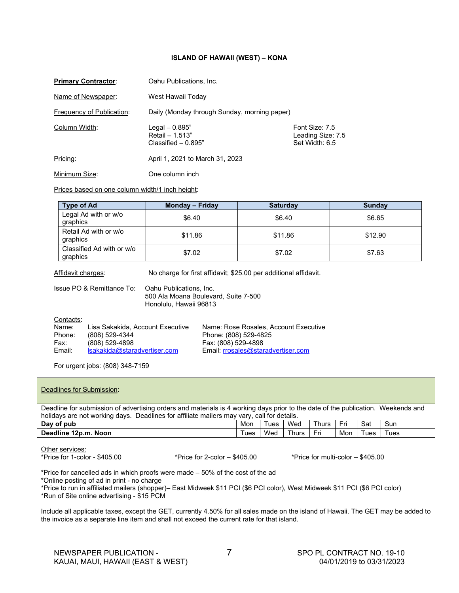#### **ISLAND OF HAWAII (WEST) – KONA**

| <b>Primary Contractor:</b> | Oahu Publications, Inc.                                     |                                                       |
|----------------------------|-------------------------------------------------------------|-------------------------------------------------------|
| Name of Newspaper:         | West Hawaii Today                                           |                                                       |
| Frequency of Publication:  | Daily (Monday through Sunday, morning paper)                |                                                       |
| Column Width:              | Legal $-0.895"$<br>Retail - 1.513"<br>Classified $-0.895$ " | Font Size: 7.5<br>Leading Size: 7.5<br>Set Width: 6.5 |
| Pricing:                   | April 1, 2021 to March 31, 2023                             |                                                       |
| Minimum Size:              | One column inch                                             |                                                       |

Prices based on one column width/1 inch height:

| <b>Type of Ad</b>                     | Monday – Friday | <b>Saturday</b> | <b>Sunday</b> |
|---------------------------------------|-----------------|-----------------|---------------|
| Legal Ad with or w/o<br>graphics      | \$6.40          | \$6.40          | \$6.65        |
| Retail Ad with or w/o<br>graphics     | \$11.86         | \$11.86         | \$12.90       |
| Classified Ad with or w/o<br>graphics | \$7.02          | \$7.02          | \$7.63        |

Affidavit charges: No charge for first affidavit; \$25.00 per additional affidavit.

|           | Oahu Publications, Inc.<br>Issue PO & Remittance To:<br>Honolulu, Hawaii 96813 | 500 Ala Moana Boulevard, Suite 7-500  |
|-----------|--------------------------------------------------------------------------------|---------------------------------------|
| Contacts: |                                                                                |                                       |
| Name:     | Lisa Sakakida, Account Executive                                               | Name: Rose Rosales, Account Executive |
| Phone:    | (808) 529-4344                                                                 | Phone: (808) 529-4825                 |
| Fax:      | $(808)$ 529-4898                                                               | Fax: (808) 529-4898                   |
| Email:    | Isakakida@staradvertiser.com                                                   | Email: rrosales@staradvertiser.com    |

For urgent jobs: (808) 348-7159

| Deadlines for Submission:                                                                                                                                                                                                      |      |      |              |       |     |      |      |
|--------------------------------------------------------------------------------------------------------------------------------------------------------------------------------------------------------------------------------|------|------|--------------|-------|-----|------|------|
| Deadline for submission of advertising orders and materials is 4 working days prior to the date of the publication. Weekends and<br>holidays are not working days. Deadlines for affiliate mailers may vary, call for details. |      |      |              |       |     |      |      |
| Day of pub                                                                                                                                                                                                                     | Mon  | Tues | Wed          | Thurs | Fri | Sat  | Sun  |
| Deadline 12p.m. Noon                                                                                                                                                                                                           | Tues | Wed  | <b>Thurs</b> | Fri   | Mon | Tues | Tues |

Other services:<br>\*Price for 1-color - \$405.00

\*Price for  $2$ -color  $-$  \$405.00 \*Price for multi-color  $-$  \$405.00

\*Price for cancelled ads in which proofs were made – 50% of the cost of the ad

\*Online posting of ad in print - no charge

\*Price to run in affiliated mailers (shopper)– East Midweek \$11 PCI (\$6 PCI color), West Midweek \$11 PCI (\$6 PCI color) \*Run of Site online advertising - \$15 PCM

Include all applicable taxes, except the GET, currently 4.50% for all sales made on the island of Hawaii. The GET may be added to the invoice as a separate line item and shall not exceed the current rate for that island.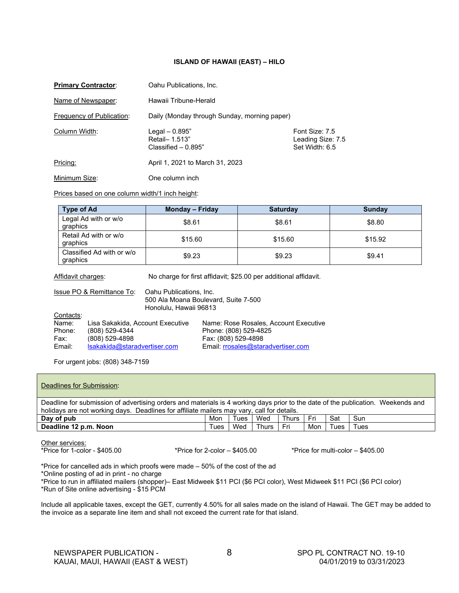#### **ISLAND OF HAWAII (EAST) – HILO**

| <b>Primary Contractor:</b>       | Oahu Publications, Inc.                                   |                                                       |  |  |  |
|----------------------------------|-----------------------------------------------------------|-------------------------------------------------------|--|--|--|
| Name of Newspaper:               | Hawaii Tribune-Herald                                     |                                                       |  |  |  |
| <b>Frequency of Publication:</b> | Daily (Monday through Sunday, morning paper)              |                                                       |  |  |  |
| Column Width:                    | Legal $-0.895"$<br>Retail- 1.513"<br>Classified $-0.895"$ | Font Size: 7.5<br>Leading Size: 7.5<br>Set Width: 6.5 |  |  |  |
| Pricing:                         | April 1, 2021 to March 31, 2023                           |                                                       |  |  |  |

Minimum Size: One column inch

Prices based on one column width/1 inch height:

| <b>Type of Ad</b>                     | <b>Monday - Friday</b> | <b>Saturday</b> | <b>Sunday</b> |
|---------------------------------------|------------------------|-----------------|---------------|
| Legal Ad with or w/o<br>graphics      | \$8.61                 | \$8.61          | \$8.80        |
| Retail Ad with or w/o<br>graphics     | \$15.60                | \$15.60         | \$15.92       |
| Classified Ad with or w/o<br>graphics | \$9.23                 | \$9.23          | \$9.41        |

Affidavit charges: No charge for first affidavit; \$25.00 per additional affidavit.

|           | Issue PO & Remittance To:        | Oahu Publications, Inc.<br>Honolulu, Hawaii 96813 | 500 Ala Moana Boulevard, Suite 7-500  |  |  |
|-----------|----------------------------------|---------------------------------------------------|---------------------------------------|--|--|
| Contacts: |                                  |                                                   |                                       |  |  |
| Name:     | Lisa Sakakida, Account Executive |                                                   | Name: Rose Rosales, Account Executive |  |  |
| Phone:    | (808) 529-4344                   |                                                   | Phone: (808) 529-4825                 |  |  |
| Fax:      | (808) 529-4898                   |                                                   | Fax: (808) 529-4898                   |  |  |
| Email:    | Isakakida@staradvertiser.com     |                                                   | Email: rrosales@staradvertiser.com    |  |  |

For urgent jobs: (808) 348-7159

| Deadlines for Submission:                                                                                                                                                                                                      |      |              |              |     |      |      |  |  |
|--------------------------------------------------------------------------------------------------------------------------------------------------------------------------------------------------------------------------------|------|--------------|--------------|-----|------|------|--|--|
| Deadline for submission of advertising orders and materials is 4 working days prior to the date of the publication. Weekends and<br>holidays are not working days. Deadlines for affiliate mailers may vary, call for details. |      |              |              |     |      |      |  |  |
| Mon                                                                                                                                                                                                                            | Tues | Wed          | <b>Thurs</b> | Fri | Sat  | Sun  |  |  |
| Tues                                                                                                                                                                                                                           | Wed  | <b>Thurs</b> | Fri          | Mon | Tues | Tues |  |  |
|                                                                                                                                                                                                                                |      |              |              |     |      |      |  |  |

Other services:<br>\*Price for 1-color - \$405.00

\*Price for  $2$ -color  $-$  \$405.00  $\bullet$  \*Price for multi-color  $-$  \$405.00

\*Price for cancelled ads in which proofs were made – 50% of the cost of the ad

\*Online posting of ad in print - no charge

\*Price to run in affiliated mailers (shopper)– East Midweek \$11 PCI (\$6 PCI color), West Midweek \$11 PCI (\$6 PCI color) \*Run of Site online advertising - \$15 PCM

Include all applicable taxes, except the GET, currently 4.50% for all sales made on the island of Hawaii. The GET may be added to the invoice as a separate line item and shall not exceed the current rate for that island.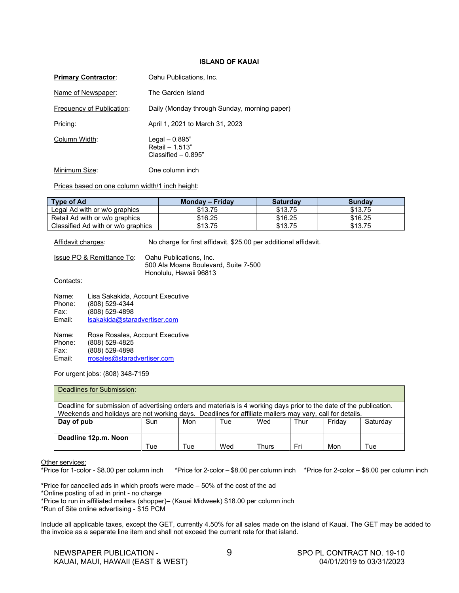#### **ISLAND OF KAUAI**

| <b>Primary Contractor:</b> | Oahu Publications, Inc.                                       |
|----------------------------|---------------------------------------------------------------|
| Name of Newspaper:         | The Garden Island                                             |
| Frequency of Publication:  | Daily (Monday through Sunday, morning paper)                  |
| Pricing:                   | April 1, 2021 to March 31, 2023                               |
| Column Width:              | Legal $-0.895"$<br>Retail $- 1.513"$<br>Classified $-$ 0.895" |
| Minimum Size:              | One column inch                                               |

Prices based on one column width/1 inch height:

| <b>Type of Ad</b>                  | Monday – Friday | <b>Saturday</b> | Sundav  |
|------------------------------------|-----------------|-----------------|---------|
| Legal Ad with or w/o graphics      | \$13.75         | \$13.75         | \$13.75 |
| Retail Ad with or w/o graphics     | \$16.25         | \$16.25         | \$16.25 |
| Classified Ad with or w/o graphics | \$13.75         | \$13.75         | \$13.75 |

Affidavit charges: No charge for first affidavit, \$25.00 per additional affidavit.

| Issue PO & Remittance To: | Oahu Publications, Inc.              |
|---------------------------|--------------------------------------|
|                           | 500 Ala Moana Boulevard, Suite 7-500 |
|                           | Honolulu, Hawaii 96813               |

#### Contacts:

| Name:  | Lisa Sakakida, Account Executive |
|--------|----------------------------------|
| Phone: | (808) 529-4344                   |
| Fax:   | (808) 529-4898                   |
| Email: | Isakakida@staradvertiser.com     |
| Name:  | Rose Rosales, Account Executive  |
| Phone: | (808) 529-4825                   |
| Fax:   | (808) 529-4898                   |
| Email: | rrosales@staradvertiser.com      |

For urgent jobs: (808) 348-7159

| Deadlines for Submission:                                                                                                                                                                                                      |     |     |     |       |      |        |          |  |  |
|--------------------------------------------------------------------------------------------------------------------------------------------------------------------------------------------------------------------------------|-----|-----|-----|-------|------|--------|----------|--|--|
| Deadline for submission of advertising orders and materials is 4 working days prior to the date of the publication.<br>Weekends and holidays are not working days. Deadlines for affiliate mailers may vary, call for details. |     |     |     |       |      |        |          |  |  |
| Day of pub                                                                                                                                                                                                                     | Sun | Mon | Tue | Wed   | Thur | Fridav | Saturday |  |  |
| Deadline 12p.m. Noon                                                                                                                                                                                                           | Tue | Tue | Wed | Thurs | Fri  | Mon    | Tue      |  |  |

Other services:<br>\*Price for 1-color - \$8.00 per column inch \*Price for 2-color  $-$  \$8.00 per column inch \*Price for 2-color  $-$  \$8.00 per column inch

\*Price for cancelled ads in which proofs were made – 50% of the cost of the ad

\*Online posting of ad in print - no charge

\*Price to run in affiliated mailers (shopper)– (Kauai Midweek) \$18.00 per column inch

\*Run of Site online advertising - \$15 PCM

Include all applicable taxes, except the GET, currently 4.50% for all sales made on the island of Kauai. The GET may be added to the invoice as a separate line item and shall not exceed the current rate for that island.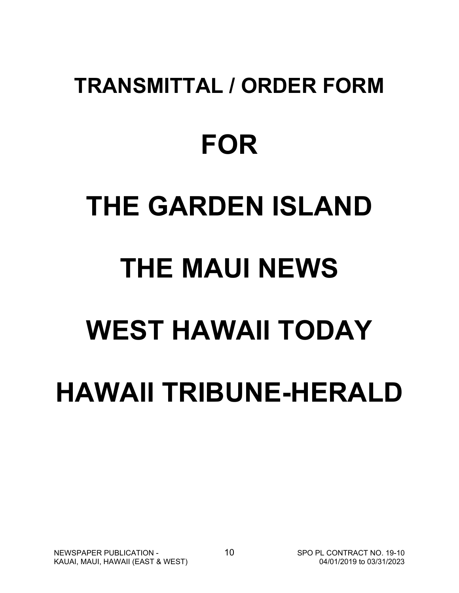# **TRANSMITTAL / ORDER FORM FOR THE GARDEN ISLAND THE MAUI NEWS WEST HAWAII TODAY HAWAII TRIBUNE-HERALD**

NEWSPAPER PUBLICATION - 10 10 SPO PL CONTRACT NO. 19-10<br>KAUAL MAUL HAWAII (EAST & WEST) 603/31/2023 KAUAI, MAUI, HAWAII (EAST & WEST)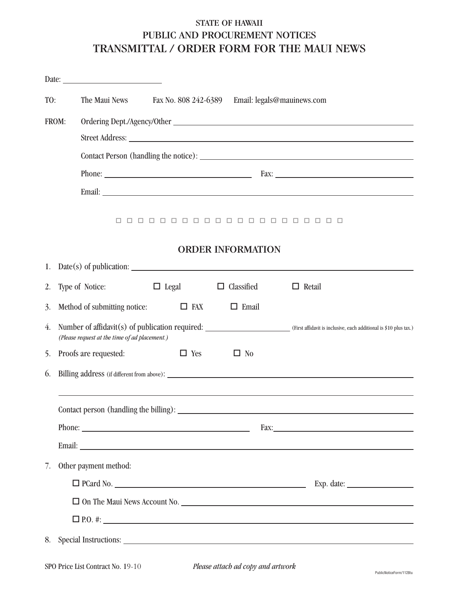# STATE OF HAWAII PUBLIC AND PROCUREMENT NOTICES TRANSMITTAL / ORDER FORM FOR THE MAUI NEWS

| TO: |       | The Maui News                                 | Fax No. 808 242-6389 |                                            | Email: legals@mauinews.com                                                                                                                         |
|-----|-------|-----------------------------------------------|----------------------|--------------------------------------------|----------------------------------------------------------------------------------------------------------------------------------------------------|
|     | FROM: |                                               |                      |                                            |                                                                                                                                                    |
|     |       |                                               |                      |                                            |                                                                                                                                                    |
|     |       |                                               |                      |                                            |                                                                                                                                                    |
|     |       |                                               |                      |                                            |                                                                                                                                                    |
|     |       |                                               |                      |                                            |                                                                                                                                                    |
|     |       |                                               |                      | <b>ORDER INFORMATION</b>                   | 0000000000000000000                                                                                                                                |
|     |       |                                               |                      | 1. Date(s) of publication: $\qquad \qquad$ |                                                                                                                                                    |
| 2.  |       | Type of Notice:                               |                      | $\Box$ Legal $\Box$ Classified             | $\Box$ Retail                                                                                                                                      |
| 3.  |       | Method of submitting notice:                  | $\Box$ FAX           | $\Box$ Email                               |                                                                                                                                                    |
| 4.  |       | (Please request at the time of ad placement.) |                      |                                            | Number of affidavit(s) of publication required: ________________________________ (First affidavit is inclusive, each additional is \$10 plus tax.) |
| 5.  |       | Proofs are requested:                         | $\Box$ Yes           | $\Box$ No                                  |                                                                                                                                                    |
| 6.  |       |                                               |                      |                                            |                                                                                                                                                    |
|     |       |                                               |                      |                                            |                                                                                                                                                    |
|     |       |                                               |                      |                                            |                                                                                                                                                    |
|     |       |                                               |                      |                                            |                                                                                                                                                    |
| 7.  |       | Other payment method:                         |                      |                                            |                                                                                                                                                    |
|     |       |                                               |                      |                                            |                                                                                                                                                    |
|     |       |                                               |                      |                                            | □ On The Maui News Account No.                                                                                                                     |
|     |       |                                               |                      |                                            |                                                                                                                                                    |
| 8.  |       |                                               |                      |                                            |                                                                                                                                                    |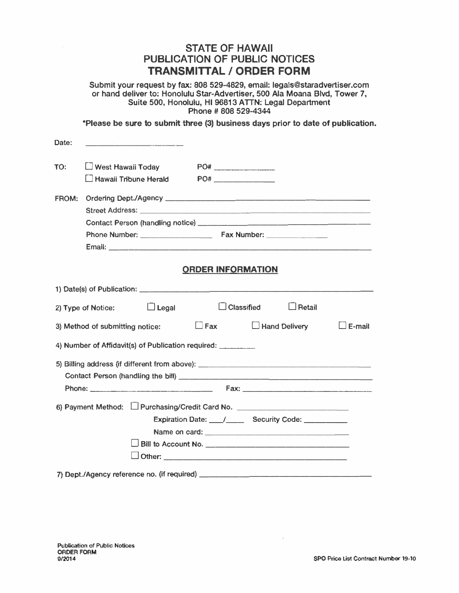# **STATE OF HAWAII PUBLICATION OF PUBLIC NOTICES TRANSMITTAL/ ORDER FORM**

**Submit your request by fax: 808 529-4829, email: legals@staradvertiser.com or hand deliver to: Honolulu Star-Advertiser, 500 Ala Moana Blvd, Tower 7, Suite 500, Honolulu, HI 96813 ATIN: Legal Department Phone # 808 529-4344** 

**\*Please be sure to submit three (3) business days prior to date of publication.**

| Date:                                                                    | <u> The Party Common Street and Common</u>                                       |               |  |  |  |
|--------------------------------------------------------------------------|----------------------------------------------------------------------------------|---------------|--|--|--|
| TO:                                                                      | $\Box$ West Hawaii Today                                                         |               |  |  |  |
|                                                                          | $\Box$ Hawaii Tribune Herald<br>$PO#$ _____________                              |               |  |  |  |
| FROM:                                                                    |                                                                                  |               |  |  |  |
|                                                                          |                                                                                  |               |  |  |  |
|                                                                          |                                                                                  |               |  |  |  |
|                                                                          |                                                                                  |               |  |  |  |
|                                                                          |                                                                                  |               |  |  |  |
|                                                                          | <b>ORDER INFORMATION</b>                                                         |               |  |  |  |
|                                                                          |                                                                                  |               |  |  |  |
|                                                                          |                                                                                  |               |  |  |  |
| $\Box$ Legal<br>$\Box$ Classified<br>$\Box$ Retail<br>2) Type of Notice: |                                                                                  |               |  |  |  |
|                                                                          | $\Box$ Fax $\Box$ Hand Delivery<br>3) Method of submitting notice:               | $\Box$ E-mail |  |  |  |
|                                                                          |                                                                                  |               |  |  |  |
|                                                                          | 5) Billing address (if different from above): __________________________________ |               |  |  |  |
|                                                                          |                                                                                  |               |  |  |  |
|                                                                          |                                                                                  |               |  |  |  |
|                                                                          | 6) Payment Method: L Purchasing/Credit Card No. ________________________________ |               |  |  |  |
|                                                                          | Expiration Date: / __ / __ Security Code: __ __ __ __                            |               |  |  |  |
|                                                                          |                                                                                  |               |  |  |  |
|                                                                          |                                                                                  |               |  |  |  |
|                                                                          |                                                                                  |               |  |  |  |
|                                                                          |                                                                                  |               |  |  |  |